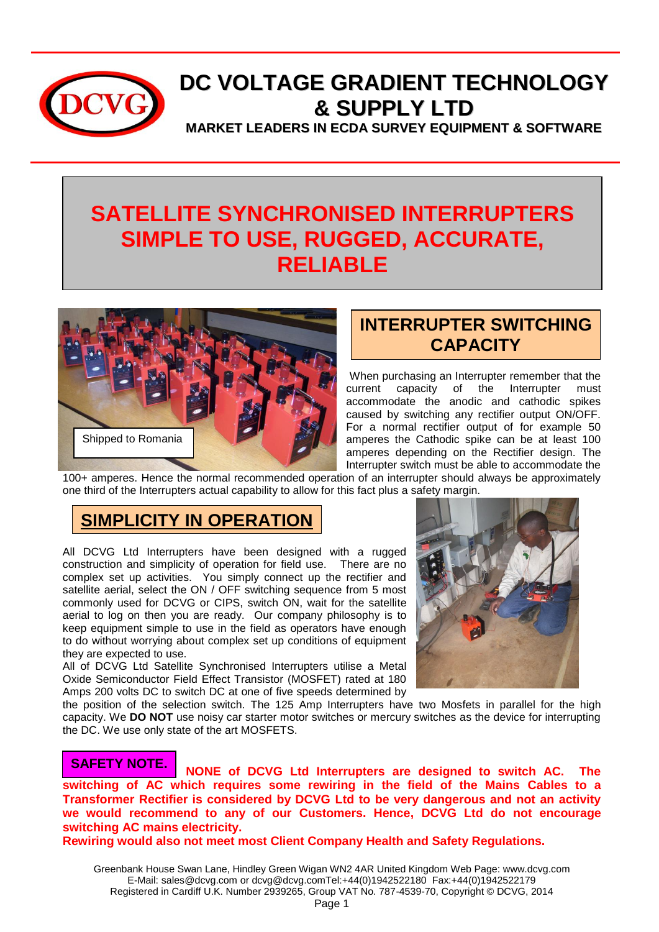

# **DC VOLTAGE GRADIENT TECHNOLOGY & SUPPLY LTD**

**MARKET LEADERS IN ECDA SURVEY EQUIPMENT & SOFTWARE**

## **SATELLITE SYNCHRONISED INTERRUPTERS SIMPLE TO USE, RUGGED, ACCURATE, RELIABLE**



## **INTERRUPTER SWITCHING CAPACITY**

When purchasing an Interrupter remember that the<br>current capacity of the Interrupter must current capacity of the Interrupter must accommodate the anodic and cathodic spikes caused by switching any rectifier output ON/OFF. For a normal rectifier output of for example 50 amperes the Cathodic spike can be at least 100 amperes depending on the Rectifier design. The Interrupter switch must be able to accommodate the

100+ amperes. Hence the normal recommended operation of an interrupter should always be approximately one third of the Interrupters actual capability to allow for this fact plus a safety margin.

## **SIMPLICITY IN OPERATION**

All DCVG Ltd Interrupters have been designed with a rugged construction and simplicity of operation for field use. There are no complex set up activities. You simply connect up the rectifier and satellite aerial, select the ON / OFF switching sequence from 5 most commonly used for DCVG or CIPS, switch ON, wait for the satellite aerial to log on then you are ready. Our company philosophy is to keep equipment simple to use in the field as operators have enough to do without worrying about complex set up conditions of equipment they are expected to use.

All of DCVG Ltd Satellite Synchronised Interrupters utilise a Metal Oxide Semiconductor Field Effect Transistor (MOSFET) rated at 180 Amps 200 volts DC to switch DC at one of five speeds determined by



the position of the selection switch. The 125 Amp Interrupters have two Mosfets in parallel for the high capacity. We **DO NOT** use noisy car starter motor switches or mercury switches as the device for interrupting the DC. We use only state of the art MOSFETS.

**NONE of DCVG Ltd Interrupters are designed to switch AC. The switching of AC which requires some rewiring in the field of the Mains Cables to a Transformer Rectifier is considered by DCVG Ltd to be very dangerous and not an activity we would recommend to any of our Customers. Hence, DCVG Ltd do not encourage switching AC mains electricity. SAFETY NOTE.**

**Rewiring would also not meet most Client Company Health and Safety Regulations.**

Greenbank House Swan Lane, Hindley Green Wigan WN2 4AR United Kingdom Web Page: www.dcvg.com E-Mail: sales@dcvg.com or dcvg@dcvg.comTel:+44(0)1942522180 Fax:+44(0)1942522179 Registered in Cardiff U.K. Number 2939265, Group VAT No. 787-4539-70, Copyright © DCVG, 2014 Page 1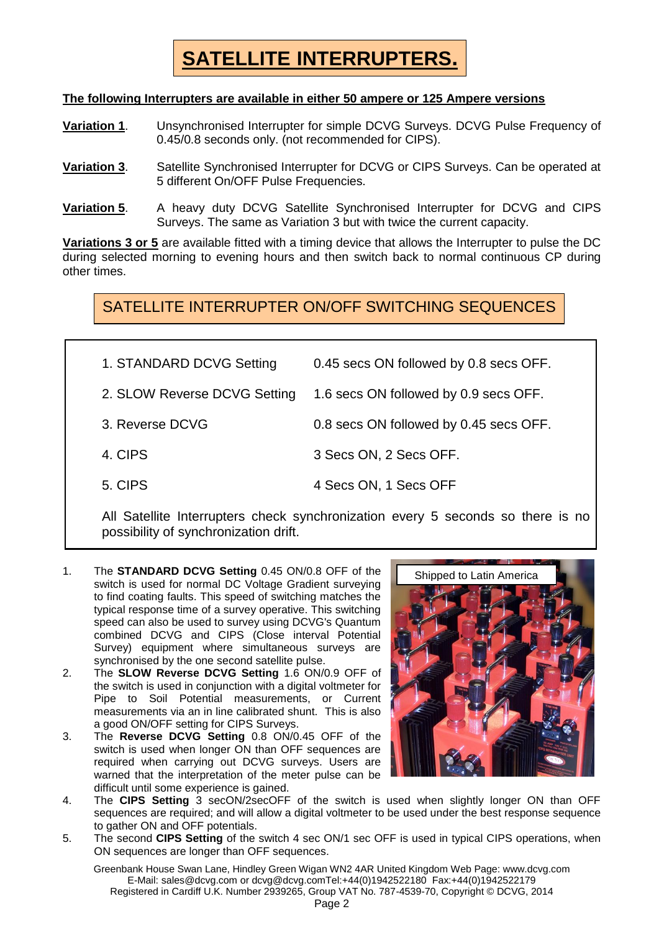# **SATELLITE INTERRUPTERS.**

#### **The following Interrupters are available in either 50 ampere or 125 Ampere versions**

- **Variation 1**. Unsynchronised Interrupter for simple DCVG Surveys. DCVG Pulse Frequency of 0.45/0.8 seconds only. (not recommended for CIPS).
- **Variation 3**. Satellite Synchronised Interrupter for DCVG or CIPS Surveys. Can be operated at 5 different On/OFF Pulse Frequencies.
- **Variation 5**. A heavy duty DCVG Satellite Synchronised Interrupter for DCVG and CIPS Surveys. The same as Variation 3 but with twice the current capacity.

**Variations 3 or 5** are available fitted with a timing device that allows the Interrupter to pulse the DC during selected morning to evening hours and then switch back to normal continuous CP during other times.

SATELLITE INTERRUPTER ON/OFF SWITCHING SEQUENCES

| 1. STANDARD DCVG Setting     | 0.45 secs ON followed by 0.8 secs OFF. |
|------------------------------|----------------------------------------|
| 2. SLOW Reverse DCVG Setting | 1.6 secs ON followed by 0.9 secs OFF.  |
| 3. Reverse DCVG              | 0.8 secs ON followed by 0.45 secs OFF. |
| 4. CIPS                      | 3 Secs ON, 2 Secs OFF.                 |
| 5. CIPS                      | 4 Secs ON, 1 Secs OFF                  |

All Satellite Interrupters check synchronization every 5 seconds so there is no possibility of synchronization drift.

- 1. The **STANDARD DCVG Setting** 0.45 ON/0.8 OFF of the switch is used for normal DC Voltage Gradient surveying to find coating faults. This speed of switching matches the typical response time of a survey operative. This switching speed can also be used to survey using DCVG's Quantum combined DCVG and CIPS (Close interval Potential Survey) equipment where simultaneous surveys are synchronised by the one second satellite pulse.
- 2. The **SLOW Reverse DCVG Setting** 1.6 ON/0.9 OFF of the switch is used in conjunction with a digital voltmeter for Pipe to Soil Potential measurements, or Current measurements via an in line calibrated shunt. This is also a good ON/OFF setting for CIPS Surveys.
- 3. The **Reverse DCVG Setting** 0.8 ON/0.45 OFF of the switch is used when longer ON than OFF sequences are required when carrying out DCVG surveys. Users are warned that the interpretation of the meter pulse can be difficult until some experience is gained.



- 4. The **CIPS Setting** 3 secON/2secOFF of the switch is used when slightly longer ON than OFF sequences are required; and will allow a digital voltmeter to be used under the best response sequence to gather ON and OFF potentials.
- 5. The second **CIPS Setting** of the switch 4 sec ON/1 sec OFF is used in typical CIPS operations, when ON sequences are longer than OFF sequences.

Greenbank House Swan Lane, Hindley Green Wigan WN2 4AR United Kingdom Web Page: www.dcvg.com E-Mail: sales@dcvg.com or dcvg@dcvg.comTel:+44(0)1942522180 Fax:+44(0)1942522179 Registered in Cardiff U.K. Number 2939265, Group VAT No. 787-4539-70, Copyright © DCVG, 2014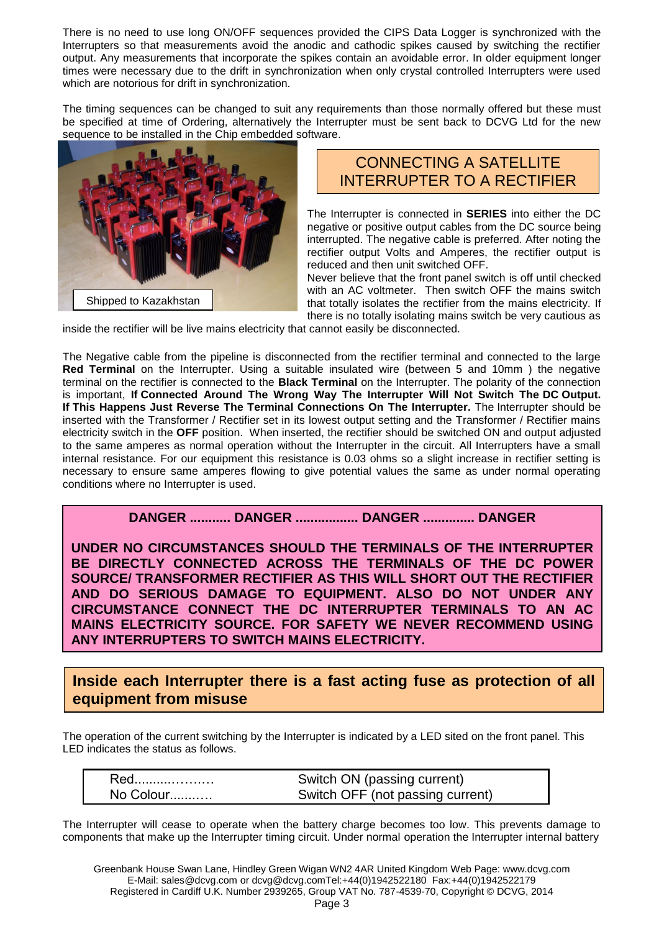There is no need to use long ON/OFF sequences provided the CIPS Data Logger is synchronized with the Interrupters so that measurements avoid the anodic and cathodic spikes caused by switching the rectifier output. Any measurements that incorporate the spikes contain an avoidable error. In older equipment longer times were necessary due to the drift in synchronization when only crystal controlled Interrupters were used which are notorious for drift in synchronization.

The timing sequences can be changed to suit any requirements than those normally offered but these must be specified at time of Ordering, alternatively the Interrupter must be sent back to DCVG Ltd for the new sequence to be installed in the Chip embedded software.



#### CONNECTING A SATELLITE INTERRUPTER TO A RECTIFIER

The Interrupter is connected in **SERIES** into either the DC negative or positive output cables from the DC source being interrupted. The negative cable is preferred. After noting the rectifier output Volts and Amperes, the rectifier output is reduced and then unit switched OFF.

Never believe that the front panel switch is off until checked with an AC voltmeter. Then switch OFF the mains switch that totally isolates the rectifier from the mains electricity. If there is no totally isolating mains switch be very cautious as

inside the rectifier will be live mains electricity that cannot easily be disconnected.

The Negative cable from the pipeline is disconnected from the rectifier terminal and connected to the large **Red Terminal** on the Interrupter. Using a suitable insulated wire (between 5 and 10mm ) the negative terminal on the rectifier is connected to the **Black Terminal** on the Interrupter. The polarity of the connection is important, **If Connected Around The Wrong Way The Interrupter Will Not Switch The DC Output. If This Happens Just Reverse The Terminal Connections On The Interrupter.** The Interrupter should be inserted with the Transformer / Rectifier set in its lowest output setting and the Transformer / Rectifier mains electricity switch in the **OFF** position. When inserted, the rectifier should be switched ON and output adjusted to the same amperes as normal operation without the Interrupter in the circuit. All Interrupters have a small internal resistance. For our equipment this resistance is 0.03 ohms so a slight increase in rectifier setting is necessary to ensure same amperes flowing to give potential values the same as under normal operating conditions where no Interrupter is used.

#### **DANGER ........... DANGER ................. DANGER .............. DANGER**

**UNDER NO CIRCUMSTANCES SHOULD THE TERMINALS OF THE INTERRUPTER BE DIRECTLY CONNECTED ACROSS THE TERMINALS OF THE DC POWER SOURCE/ TRANSFORMER RECTIFIER AS THIS WILL SHORT OUT THE RECTIFIER AND DO SERIOUS DAMAGE TO EQUIPMENT. ALSO DO NOT UNDER ANY CIRCUMSTANCE CONNECT THE DC INTERRUPTER TERMINALS TO AN AC MAINS ELECTRICITY SOURCE. FOR SAFETY WE NEVER RECOMMEND USING ANY INTERRUPTERS TO SWITCH MAINS ELECTRICITY.** 

**Inside each Interrupter there is a fast acting fuse as protection of all equipment from misuse**

The operation of the current switching by the Interrupter is indicated by a LED sited on the front panel. This LED indicates the status as follows.

| Red       | Switch ON (passing current)      |
|-----------|----------------------------------|
| No Colour | Switch OFF (not passing current) |

The Interrupter will cease to operate when the battery charge becomes too low. This prevents damage to components that make up the Interrupter timing circuit. Under normal operation the Interrupter internal battery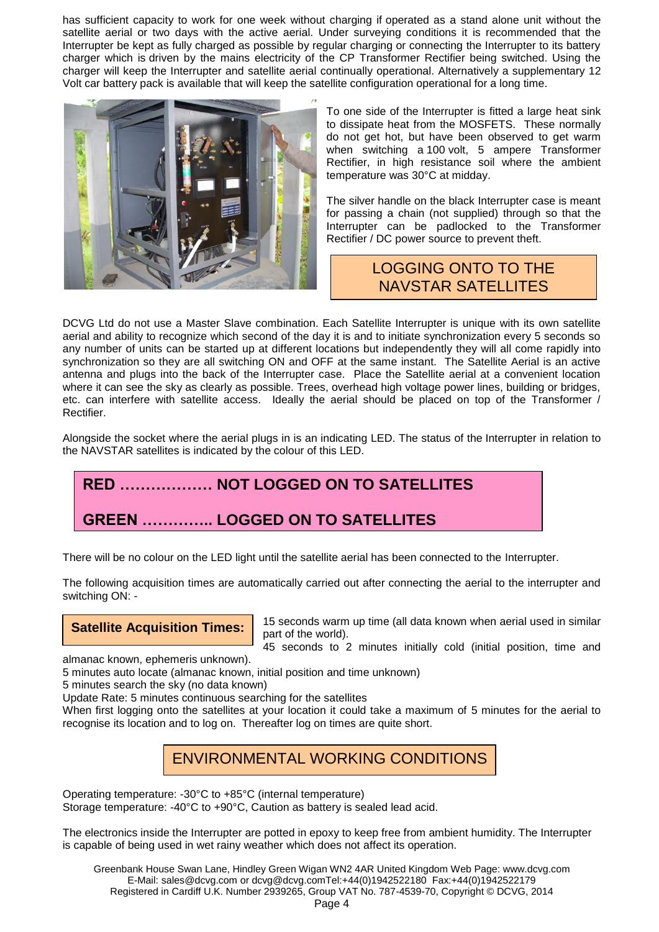has sufficient capacity to work for one week without charging if operated as a stand alone unit without the satellite aerial or two days with the active aerial. Under surveying conditions it is recommended that the Interrupter be kept as fully charged as possible by regular charging or connecting the Interrupter to its battery charger which is driven by the mains electricity of the CP Transformer Rectifier being switched. Using the charger will keep the Interrupter and satellite aerial continually operational. Alternatively a supplementary 12 Volt car battery pack is available that will keep the satellite configuration operational for a long time.



To one side of the Interrupter is fitted a large heat sink to dissipate heat from the MOSFETS. These normally do not get hot, but have been observed to get warm when switching a 100 volt, 5 ampere Transformer Rectifier, in high resistance soil where the ambient temperature was 30°C at midday.

The silver handle on the black Interrupter case is meant for passing a chain (not supplied) through so that the Interrupter can be padlocked to the Transformer Rectifier / DC power source to prevent theft.

#### LOGGING ONTO TO THE NAVSTAR SATELLITES

DCVG Ltd do not use a Master Slave combination. Each Satellite Interrupter is unique with its own satellite aerial and ability to recognize which second of the day it is and to initiate synchronization every 5 seconds so any number of units can be started up at different locations but independently they will all come rapidly into synchronization so they are all switching ON and OFF at the same instant. The Satellite Aerial is an active antenna and plugs into the back of the Interrupter case. Place the Satellite aerial at a convenient location where it can see the sky as clearly as possible. Trees, overhead high voltage power lines, building or bridges, etc. can interfere with satellite access. Ideally the aerial should be placed on top of the Transformer / Rectifier.

Alongside the socket where the aerial plugs in is an indicating LED. The status of the Interrupter in relation to the NAVSTAR satellites is indicated by the colour of this LED.

## **RED ……………… NOT LOGGED ON TO SATELLITES**

### **GREEN ………….. LOGGED ON TO SATELLITES**

There will be no colour on the LED light until the satellite aerial has been connected to the Interrupter.

The following acquisition times are automatically carried out after connecting the aerial to the interrupter and switching ON: -

**Satellite Acquisition Times:** 

15 seconds warm up time (all data known when aerial used in similar part of the world).

45 seconds to 2 minutes initially cold (initial position, time and

almanac known, ephemeris unknown).

5 minutes auto locate (almanac known, initial position and time unknown)

5 minutes search the sky (no data known)

Update Rate: 5 minutes continuous searching for the satellites

When first logging onto the satellites at your location it could take a maximum of 5 minutes for the aerial to recognise its location and to log on. Thereafter log on times are quite short.

### ENVIRONMENTAL WORKING CONDITIONS

Operating temperature: -30°C to +85°C (internal temperature) Storage temperature: -40°C to +90°C, Caution as battery is sealed lead acid.

The electronics inside the Interrupter are potted in epoxy to keep free from ambient humidity. The Interrupter is capable of being used in wet rainy weather which does not affect its operation.

Greenbank House Swan Lane, Hindley Green Wigan WN2 4AR United Kingdom Web Page: www.dcvg.com E-Mail: sales@dcvg.com or dcvg@dcvg.comTel:+44(0)1942522180 Fax:+44(0)1942522179 Registered in Cardiff U.K. Number 2939265, Group VAT No. 787-4539-70, Copyright © DCVG, 2014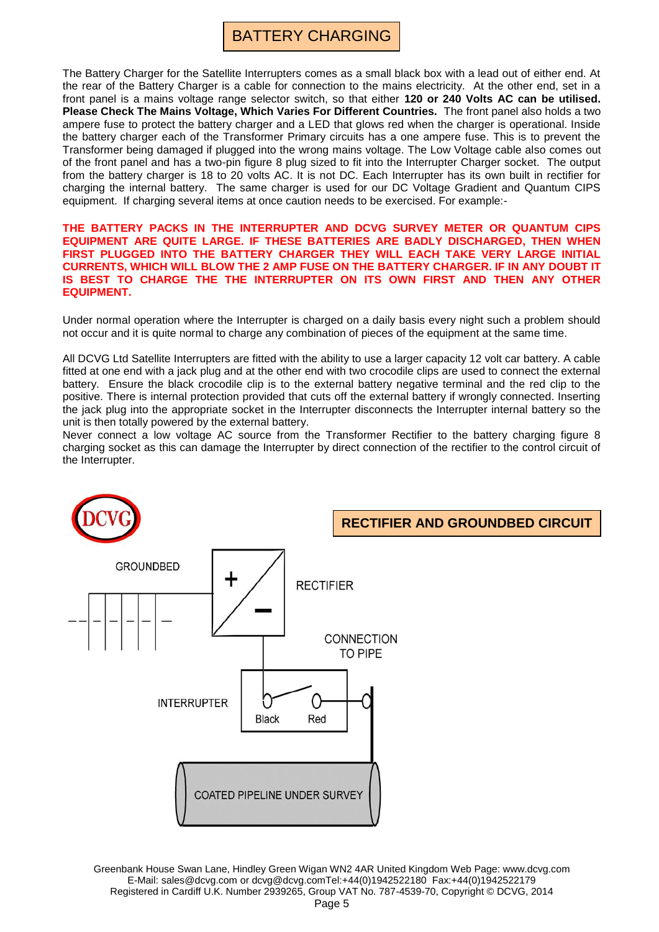The Battery Charger for the Satellite Interrupters comes as a small black box with a lead out of either end. At the rear of the Battery Charger is a cable for connection to the mains electricity. At the other end, set in a front panel is a mains voltage range selector switch, so that either **120 or 240 Volts AC can be utilised. Please Check The Mains Voltage, Which Varies For Different Countries.** The front panel also holds a two ampere fuse to protect the battery charger and a LED that glows red when the charger is operational. Inside the battery charger each of the Transformer Primary circuits has a one ampere fuse. This is to prevent the Transformer being damaged if plugged into the wrong mains voltage. The Low Voltage cable also comes out of the front panel and has a two-pin figure 8 plug sized to fit into the Interrupter Charger socket. The output from the battery charger is 18 to 20 volts AC. It is not DC. Each Interrupter has its own built in rectifier for charging the internal battery. The same charger is used for our DC Voltage Gradient and Quantum CIPS equipment. If charging several items at once caution needs to be exercised. For example:-

#### **THE BATTERY PACKS IN THE INTERRUPTER AND DCVG SURVEY METER OR QUANTUM CIPS EQUIPMENT ARE QUITE LARGE. IF THESE BATTERIES ARE BADLY DISCHARGED, THEN WHEN FIRST PLUGGED INTO THE BATTERY CHARGER THEY WILL EACH TAKE VERY LARGE INITIAL CURRENTS, WHICH WILL BLOW THE 2 AMP FUSE ON THE BATTERY CHARGER. IF IN ANY DOUBT IT IS BEST TO CHARGE THE THE INTERRUPTER ON ITS OWN FIRST AND THEN ANY OTHER EQUIPMENT.**

Under normal operation where the Interrupter is charged on a daily basis every night such a problem should not occur and it is quite normal to charge any combination of pieces of the equipment at the same time.

All DCVG Ltd Satellite Interrupters are fitted with the ability to use a larger capacity 12 volt car battery. A cable fitted at one end with a jack plug and at the other end with two crocodile clips are used to connect the external battery. Ensure the black crocodile clip is to the external battery negative terminal and the red clip to the positive. There is internal protection provided that cuts off the external battery if wrongly connected. Inserting the jack plug into the appropriate socket in the Interrupter disconnects the Interrupter internal battery so the unit is then totally powered by the external battery.

Never connect a low voltage AC source from the Transformer Rectifier to the battery charging figure 8 charging socket as this can damage the Interrupter by direct connection of the rectifier to the control circuit of the Interrupter.



Greenbank House Swan Lane, Hindley Green Wigan WN2 4AR United Kingdom Web Page: www.dcvg.com E-Mail: sales@dcvg.com or dcvg@dcvg.comTel:+44(0)1942522180 Fax:+44(0)1942522179 Registered in Cardiff U.K. Number 2939265, Group VAT No. 787-4539-70, Copyright © DCVG, 2014 Page 5